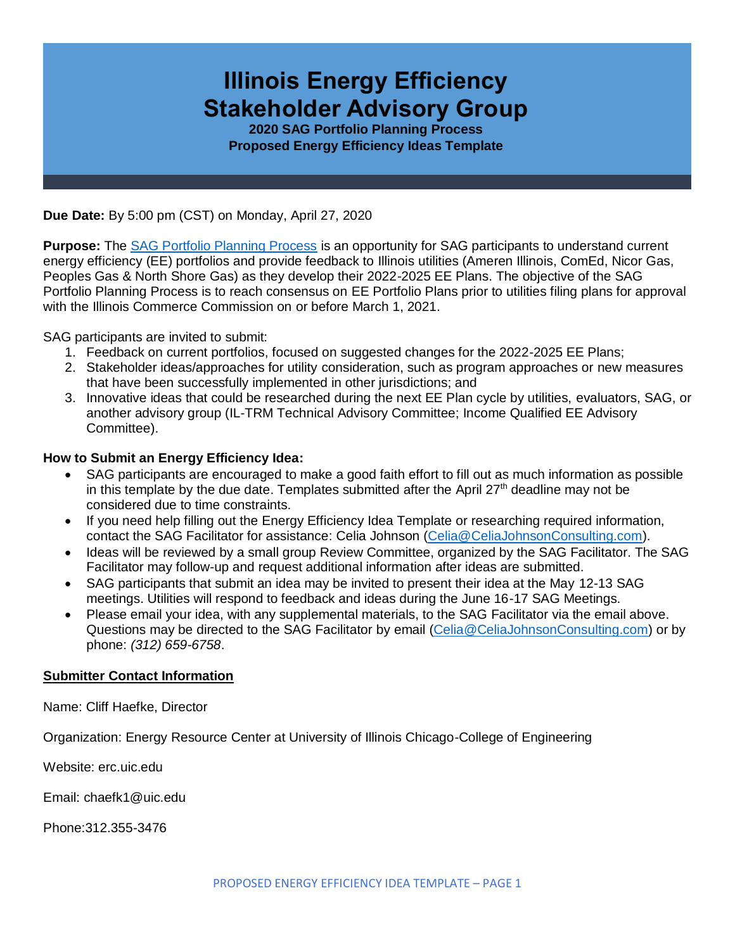# **Illinois Energy Efficiency Stakeholder Advisory Group**

**2020 SAG Portfolio Planning Process Proposed Energy Efficiency Ideas Template**

**Due Date:** By 5:00 pm (CST) on Monday, April 27, 2020

**Purpose:** The [SAG Portfolio Planning Process](https://www.ilsag.info/meetings/portfolio-planning-process/) is an opportunity for SAG participants to understand current energy efficiency (EE) portfolios and provide feedback to Illinois utilities (Ameren Illinois, ComEd, Nicor Gas, Peoples Gas & North Shore Gas) as they develop their 2022-2025 EE Plans. The objective of the SAG Portfolio Planning Process is to reach consensus on EE Portfolio Plans prior to utilities filing plans for approval with the Illinois Commerce Commission on or before March 1, 2021.

SAG participants are invited to submit:

- 1. Feedback on current portfolios, focused on suggested changes for the 2022-2025 EE Plans;
- 2. Stakeholder ideas/approaches for utility consideration, such as program approaches or new measures that have been successfully implemented in other jurisdictions; and
- 3. Innovative ideas that could be researched during the next EE Plan cycle by utilities, evaluators, SAG, or another advisory group (IL-TRM Technical Advisory Committee; Income Qualified EE Advisory Committee).

#### **How to Submit an Energy Efficiency Idea:**

- SAG participants are encouraged to make a good faith effort to fill out as much information as possible in this template by the due date. Templates submitted after the April  $27<sup>th</sup>$  deadline may not be considered due to time constraints.
- If you need help filling out the Energy Efficiency Idea Template or researching required information, contact the SAG Facilitator for assistance: Celia Johnson [\(Celia@CeliaJohnsonConsulting.com\)](mailto:Celia@CeliaJohnsonConsulting.com).
- Ideas will be reviewed by a small group Review Committee, organized by the SAG Facilitator. The SAG Facilitator may follow-up and request additional information after ideas are submitted.
- SAG participants that submit an idea may be invited to present their idea at the May 12-13 SAG meetings. Utilities will respond to feedback and ideas during the June 16-17 SAG Meetings.
- Please email your idea, with any supplemental materials, to the SAG Facilitator via the email above. Questions may be directed to the SAG Facilitator by email [\(Celia@CeliaJohnsonConsulting.com\)](mailto:Celia@CeliaJohnsonConsulting.com) or by phone: *(312) 659-6758*.

#### **Submitter Contact Information**

Name: Cliff Haefke, Director

Organization: Energy Resource Center at University of Illinois Chicago-College of Engineering

Website: erc.uic.edu

Email: chaefk1@uic.edu

Phone:312.355-3476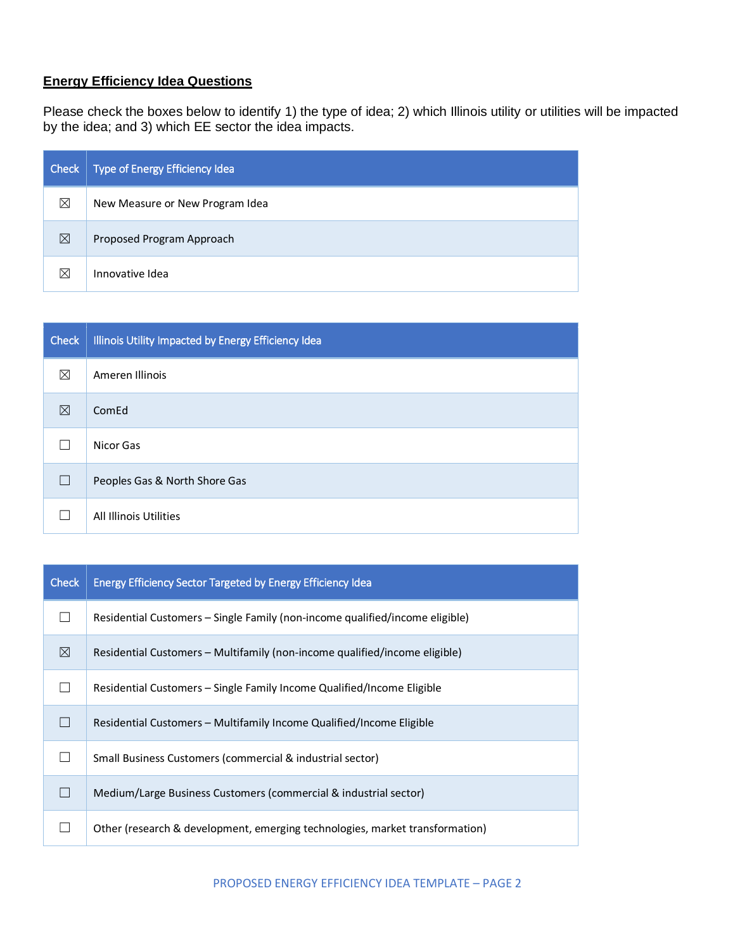## **Energy Efficiency Idea Questions**

Please check the boxes below to identify 1) the type of idea; 2) which Illinois utility or utilities will be impacted by the idea; and 3) which EE sector the idea impacts.

| Check | Type of Energy Efficiency Idea  |
|-------|---------------------------------|
| ⊠     | New Measure or New Program Idea |
| ⊠     | Proposed Program Approach       |
| X     | Innovative Idea                 |

| <b>Check</b> | Illinois Utility Impacted by Energy Efficiency Idea |  |  |
|--------------|-----------------------------------------------------|--|--|
| ⊠            | Ameren Illinois                                     |  |  |
| ⊠            | ComEd                                               |  |  |
|              | Nicor Gas                                           |  |  |
|              | Peoples Gas & North Shore Gas                       |  |  |
|              | All Illinois Utilities                              |  |  |

| <b>Check</b> | <b>Energy Efficiency Sector Targeted by Energy Efficiency Idea</b>           |  |  |  |
|--------------|------------------------------------------------------------------------------|--|--|--|
|              | Residential Customers - Single Family (non-income qualified/income eligible) |  |  |  |
| ⊠            | Residential Customers – Multifamily (non-income qualified/income eligible)   |  |  |  |
|              | Residential Customers – Single Family Income Qualified/Income Eligible       |  |  |  |
|              | Residential Customers – Multifamily Income Qualified/Income Eligible         |  |  |  |
|              | Small Business Customers (commercial & industrial sector)                    |  |  |  |
|              | Medium/Large Business Customers (commercial & industrial sector)             |  |  |  |
|              | Other (research & development, emerging technologies, market transformation) |  |  |  |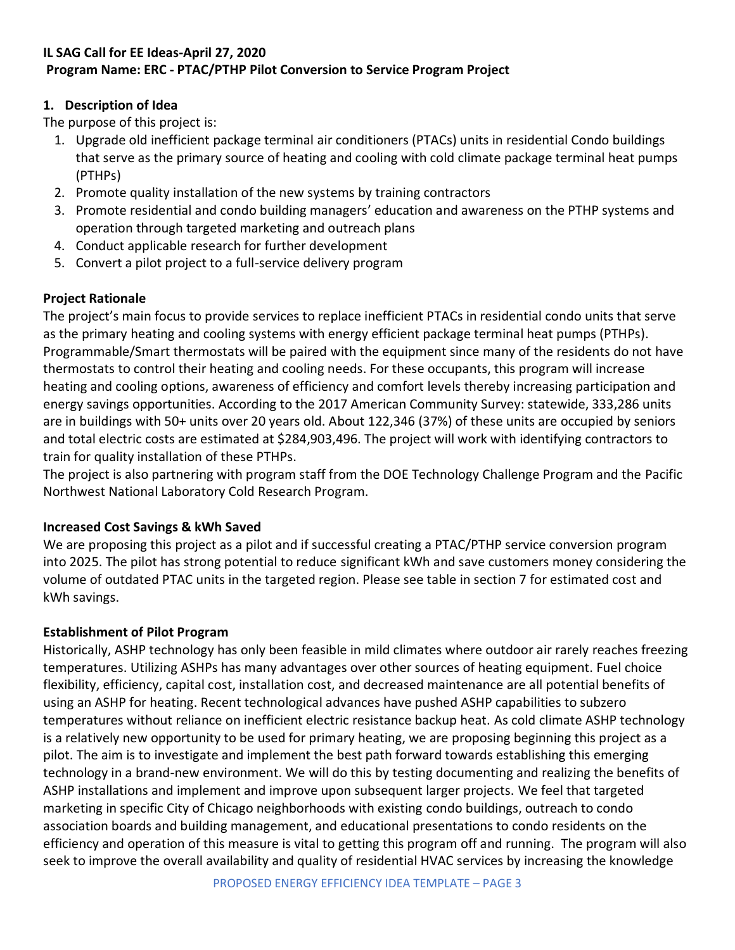# **IL SAG Call for EE Ideas-April 27, 2020 Program Name: ERC - PTAC/PTHP Pilot Conversion to Service Program Project**

## **1. Description of Idea**

The purpose of this project is:

- 1. Upgrade old inefficient package terminal air conditioners (PTACs) units in residential Condo buildings that serve as the primary source of heating and cooling with cold climate package terminal heat pumps (PTHPs)
- 2. Promote quality installation of the new systems by training contractors
- 3. Promote residential and condo building managers' education and awareness on the PTHP systems and operation through targeted marketing and outreach plans
- 4. Conduct applicable research for further development
- 5. Convert a pilot project to a full-service delivery program

## **Project Rationale**

The project's main focus to provide services to replace inefficient PTACs in residential condo units that serve as the primary heating and cooling systems with energy efficient package terminal heat pumps (PTHPs). Programmable/Smart thermostats will be paired with the equipment since many of the residents do not have thermostats to control their heating and cooling needs. For these occupants, this program will increase heating and cooling options, awareness of efficiency and comfort levels thereby increasing participation and energy savings opportunities. According to the 2017 American Community Survey: statewide, 333,286 units are in buildings with 50+ units over 20 years old. About 122,346 (37%) of these units are occupied by seniors and total electric costs are estimated at \$284,903,496. The project will work with identifying contractors to train for quality installation of these PTHPs.

The project is also partnering with program staff from the DOE Technology Challenge Program and the Pacific Northwest National Laboratory Cold Research Program.

# **Increased Cost Savings & kWh Saved**

We are proposing this project as a pilot and if successful creating a PTAC/PTHP service conversion program into 2025. The pilot has strong potential to reduce significant kWh and save customers money considering the volume of outdated PTAC units in the targeted region. Please see table in section 7 for estimated cost and kWh savings.

## **Establishment of Pilot Program**

Historically, ASHP technology has only been feasible in mild climates where outdoor air rarely reaches freezing temperatures. Utilizing ASHPs has many advantages over other sources of heating equipment. Fuel choice flexibility, efficiency, capital cost, installation cost, and decreased maintenance are all potential benefits of using an ASHP for heating. Recent technological advances have pushed ASHP capabilities to subzero temperatures without reliance on inefficient electric resistance backup heat. As cold climate ASHP technology is a relatively new opportunity to be used for primary heating, we are proposing beginning this project as a pilot. The aim is to investigate and implement the best path forward towards establishing this emerging technology in a brand-new environment. We will do this by testing documenting and realizing the benefits of ASHP installations and implement and improve upon subsequent larger projects. We feel that targeted marketing in specific City of Chicago neighborhoods with existing condo buildings, outreach to condo association boards and building management, and educational presentations to condo residents on the efficiency and operation of this measure is vital to getting this program off and running. The program will also seek to improve the overall availability and quality of residential HVAC services by increasing the knowledge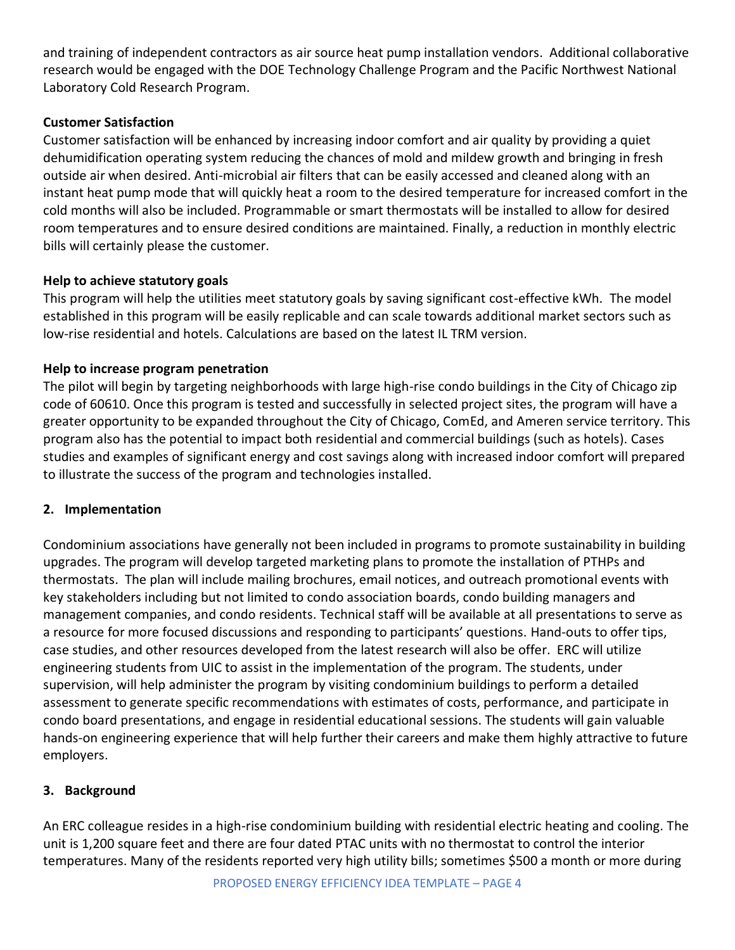and training of independent contractors as air source heat pump installation vendors. Additional collaborative research would be engaged with the DOE Technology Challenge Program and the Pacific Northwest National Laboratory Cold Research Program.

#### **Customer Satisfaction**

Customer satisfaction will be enhanced by increasing indoor comfort and air quality by providing a quiet dehumidification operating system reducing the chances of mold and mildew growth and bringing in fresh outside air when desired. Anti-microbial air filters that can be easily accessed and cleaned along with an instant heat pump mode that will quickly heat a room to the desired temperature for increased comfort in the cold months will also be included. Programmable or smart thermostats will be installed to allow for desired room temperatures and to ensure desired conditions are maintained. Finally, a reduction in monthly electric bills will certainly please the customer.

#### **Help to achieve statutory goals**

This program will help the utilities meet statutory goals by saving significant cost-effective kWh. The model established in this program will be easily replicable and can scale towards additional market sectors such as low-rise residential and hotels. Calculations are based on the latest IL TRM version.

#### **Help to increase program penetration**

The pilot will begin by targeting neighborhoods with large high-rise condo buildings in the City of Chicago zip code of 60610. Once this program is tested and successfully in selected project sites, the program will have a greater opportunity to be expanded throughout the City of Chicago, ComEd, and Ameren service territory. This program also has the potential to impact both residential and commercial buildings (such as hotels). Cases studies and examples of significant energy and cost savings along with increased indoor comfort will prepared to illustrate the success of the program and technologies installed.

#### **2. Implementation**

Condominium associations have generally not been included in programs to promote sustainability in building upgrades. The program will develop targeted marketing plans to promote the installation of PTHPs and thermostats. The plan will include mailing brochures, email notices, and outreach promotional events with key stakeholders including but not limited to condo association boards, condo building managers and management companies, and condo residents. Technical staff will be available at all presentations to serve as a resource for more focused discussions and responding to participants' questions. Hand-outs to offer tips, case studies, and other resources developed from the latest research will also be offer. ERC will utilize engineering students from UIC to assist in the implementation of the program. The students, under supervision, will help administer the program by visiting condominium buildings to perform a detailed assessment to generate specific recommendations with estimates of costs, performance, and participate in condo board presentations, and engage in residential educational sessions. The students will gain valuable hands-on engineering experience that will help further their careers and make them highly attractive to future employers.

## **3. Background**

An ERC colleague resides in a high-rise condominium building with residential electric heating and cooling. The unit is 1,200 square feet and there are four dated PTAC units with no thermostat to control the interior temperatures. Many of the residents reported very high utility bills; sometimes \$500 a month or more during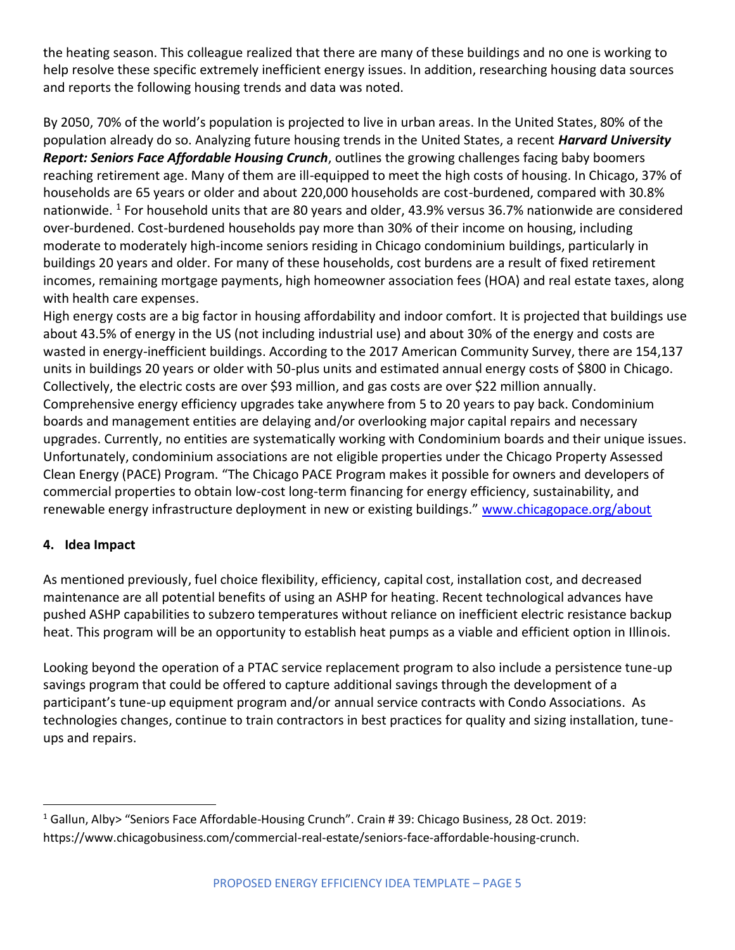the heating season. This colleague realized that there are many of these buildings and no one is working to help resolve these specific extremely inefficient energy issues. In addition, researching housing data sources and reports the following housing trends and data was noted.

By 2050, 70% of the world's population is projected to live in urban areas. In the United States, 80% of the population already do so. Analyzing future housing trends in the United States, a recent *Harvard University Report: Seniors Face Affordable Housing Crunch*, outlines the growing challenges facing baby boomers reaching retirement age. Many of them are ill-equipped to meet the high costs of housing. In Chicago, 37% of households are 65 years or older and about 220,000 households are cost-burdened, compared with 30.8% nationwide. <sup>1</sup> For household units that are 80 years and older, 43.9% versus 36.7% nationwide are considered over-burdened. Cost-burdened households pay more than 30% of their income on housing, including moderate to moderately high-income seniors residing in Chicago condominium buildings, particularly in buildings 20 years and older. For many of these households, cost burdens are a result of fixed retirement incomes, remaining mortgage payments, high homeowner association fees (HOA) and real estate taxes, along with health care expenses.

High energy costs are a big factor in housing affordability and indoor comfort. It is projected that buildings use about 43.5% of energy in the US (not including industrial use) and about 30% of the energy and costs are wasted in energy-inefficient buildings. According to the 2017 American Community Survey, there are 154,137 units in buildings 20 years or older with 50-plus units and estimated annual energy costs of \$800 in Chicago. Collectively, the electric costs are over \$93 million, and gas costs are over \$22 million annually. Comprehensive energy efficiency upgrades take anywhere from 5 to 20 years to pay back. Condominium boards and management entities are delaying and/or overlooking major capital repairs and necessary upgrades. Currently, no entities are systematically working with Condominium boards and their unique issues. Unfortunately, condominium associations are not eligible properties under the Chicago Property Assessed Clean Energy (PACE) Program. "The Chicago PACE Program makes it possible for owners and developers of commercial properties to obtain low-cost long-term financing for energy efficiency, sustainability, and renewable energy infrastructure deployment in new or existing buildings." [www.chicagopace.org/about](http://www.chicagopace.org/about)

## **4. Idea Impact**

 $\overline{a}$ 

As mentioned previously, fuel choice flexibility, efficiency, capital cost, installation cost, and decreased maintenance are all potential benefits of using an ASHP for heating. Recent technological advances have pushed ASHP capabilities to subzero temperatures without reliance on inefficient electric resistance backup heat. This program will be an opportunity to establish heat pumps as a viable and efficient option in Illinois.

Looking beyond the operation of a PTAC service replacement program to also include a persistence tune-up savings program that could be offered to capture additional savings through the development of a participant's tune-up equipment program and/or annual service contracts with Condo Associations. As technologies changes, continue to train contractors in best practices for quality and sizing installation, tuneups and repairs.

<sup>1</sup> Gallun, Alby> "Seniors Face Affordable-Housing Crunch". Crain # 39: Chicago Business, 28 Oct. 2019: https://www.chicagobusiness.com/commercial-real-estate/seniors-face-affordable-housing-crunch.